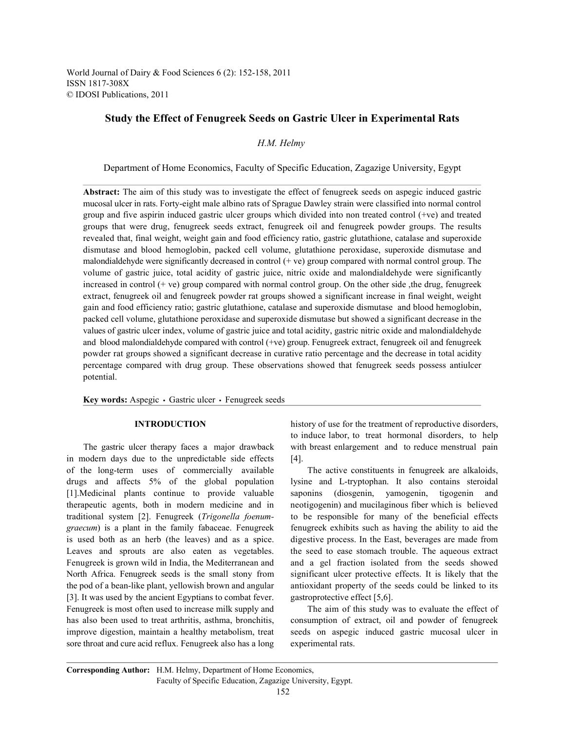World Journal of Dairy & Food Sciences 6 (2): 152-158, 2011 ISSN 1817-308X © IDOSI Publications, 2011

# **Study the Effect of Fenugreek Seeds on Gastric Ulcer in Experimental Rats**

*H.M. Helmy* 

Department of Home Economics, Faculty of Specific Education, Zagazige University, Egypt

**Abstract:** The aim of this study was to investigate the effect of fenugreek seeds on aspegic induced gastric mucosal ulcer in rats. Forty-eight male albino rats of Sprague Dawley strain were classified into normal control group and five aspirin induced gastric ulcer groups which divided into non treated control (+ve) and treated groups that were drug, fenugreek seeds extract, fenugreek oil and fenugreek powder groups. The results revealed that, final weight, weight gain and food efficiency ratio, gastric glutathione, catalase and superoxide dismutase and blood hemoglobin, packed cell volume, glutathione peroxidase, superoxide dismutase and malondialdehyde were significantly decreased in control  $(+ ve)$  group compared with normal control group. The volume of gastric juice, total acidity of gastric juice, nitric oxide and malondialdehyde were significantly increased in control  $(+ ve)$  group compared with normal control group. On the other side, the drug, fenugreek extract, fenugreek oil and fenugreek powder rat groups showed a significant increase in final weight, weight gain and food efficiency ratio; gastric glutathione, catalase and superoxide dismutase and blood hemoglobin, packed cell volume, glutathione peroxidase and superoxide dismutase but showed a significant decrease in the values of gastric ulcer index, volume of gastric juice and total acidity, gastric nitric oxide and malondialdehyde and blood malondialdehyde compared with control (+ve) group. Fenugreek extract, fenugreek oil and fenugreek powder rat groups showed a significant decrease in curative ratio percentage and the decrease in total acidity percentage compared with drug group. These observations showed that fenugreek seeds possess antiulcer potential.

Key words: Aspegic · Gastric ulcer · Fenugreek seeds

in modern days due to the unpredictable side effects [4]. of the long-term uses of commercially available The active constituents in fenugreek are alkaloids, drugs and affects 5% of the global population lysine and L-tryptophan. It also contains steroidal [1].Medicinal plants continue to provide valuable saponins (diosgenin, yamogenin, tigogenin and therapeutic agents, both in modern medicine and in neotigogenin) and mucilaginous fiber which is believed traditional system [2]. Fenugreek (*Trigonella foenum-* to be responsible for many of the beneficial effects *graecum*) is a plant in the family fabaceae. Fenugreek fenugreek exhibits such as having the ability to aid the is used both as an herb (the leaves) and as a spice. digestive process. In the East, beverages are made from Leaves and sprouts are also eaten as vegetables. the seed to ease stomach trouble. The aqueous extract Fenugreek is grown wild in India, the Mediterranean and and a gel fraction isolated from the seeds showed North Africa. Fenugreek seeds is the small stony from significant ulcer protective effects. It is likely that the the pod of a bean-like plant, yellowish brown and angular antioxidant property of the seeds could be linked to its [3]. It was used by the ancient Egyptians to combat fever. gastroprotective effect [5,6]. Fenugreek is most often used to increase milk supply and The aim of this study was to evaluate the effect of has also been used to treat arthritis, asthma, bronchitis, consumption of extract, oil and powder of fenugreek improve digestion, maintain a healthy metabolism, treat seeds on aspegic induced gastric mucosal ulcer in sore throat and cure acid reflux. Fenugreek also has a long experimental rats.

**INTRODUCTION** history of use for the treatment of reproductive disorders, The gastric ulcer therapy faces a major drawback with breast enlargement and to reduce menstrual pain to induce labor, to treat hormonal disorders, to help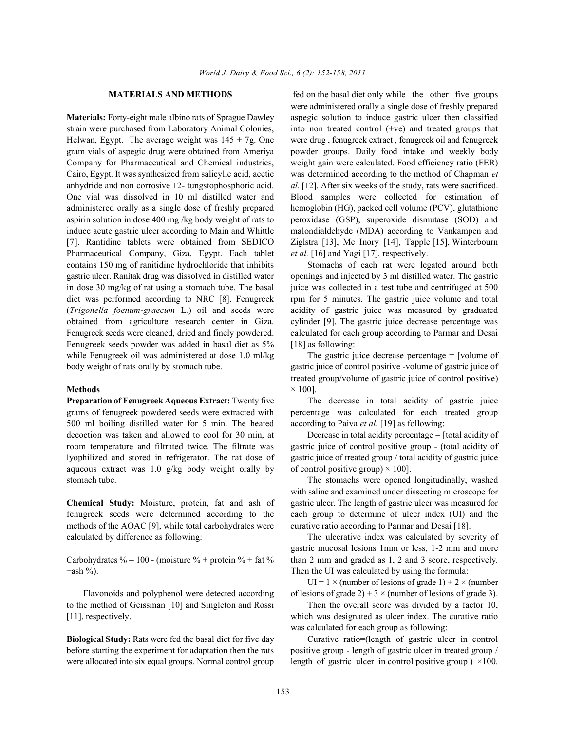strain were purchased from Laboratory Animal Colonies, into non treated control (+ve) and treated groups that Helwan, Egypt. The average weight was  $145 \pm 7$ g. One were drug, fenugreek extract, fenugreek oil and fenugreek gram vials of aspegic drug were obtained from Ameriya powder groups. Daily food intake and weekly body Company for Pharmaceutical and Chemical industries, weight gain were calculated. Food efficiency ratio (FER) Cairo, Egypt. It was synthesized from salicylic acid, acetic was determined according to the method of Chapman *et* anhydride and non corrosive 12- tungstophosphoric acid. *al.* [12]. After six weeks of the study, rats were sacrificed. One vial was dissolved in 10 ml distilled water and Blood samples were collected for estimation of administered orally as a single dose of freshly prepared hemoglobin (HG), packed cell volume (PCV), glutathione aspirin solution in dose 400 mg /kg body weight of rats to peroxidase (GSP), superoxide dismutase (SOD) and induce acute gastric ulcer according to Main and Whittle malondialdehyde (MDA) according to Vankampen and [7]. Rantidine tablets were obtained from SEDICO Ziglstra [13], Mc Inory [14], Tapple [15], Winterbourn Pharmaceutical Company, Giza, Egypt. Each tablet *et al.* [16] and Yagi [17], respectively. contains 150 mg of ranitidine hydrochloride that inhibits Stomachs of each rat were legated around both gastric ulcer. Ranitak drug was dissolved in distilled water openings and injected by 3 ml distilled water. The gastric in dose 30 mg/kg of rat using a stomach tube. The basal juice was collected in a test tube and centrifuged at 500 diet was performed according to NRC [8]. Fenugreek rpm for 5 minutes. The gastric juice volume and total (*Trigonella foenum-graecum* L*.*) oil and seeds were acidity of gastric juice was measured by graduated obtained from agriculture research center in Giza. cylinder [9]. The gastric juice decrease percentage was Fenugreek seeds were cleaned, dried and finely powdered. calculated for each group according to Parmar and Desai Fenugreek seeds powder was added in basal diet as 5% [18] as following: while Fenugreek oil was administered at dose 1.0 ml/kg The gastric juice decrease percentage = [volume of body weight of rats orally by stomach tube. gastric juice of control positive -volume of gastric juice of

grams of fenugreek powdered seeds were extracted with percentage was calculated for each treated group 500 ml boiling distilled water for 5 min. The heated according to Paiva *et al.* [19] as following: decoction was taken and allowed to cool for 30 min, at Decrease in total acidity percentage = [total acidity of aqueous extract was 1.0 g/kg body weight orally by of control positive group)  $\times$  100]. stomach tube. The stomachs were opened longitudinally, washed

fenugreek seeds were determined according to the each group to determine of ulcer index (UI) and the methods of the AOAC [9], while total carbohydrates were curative ratio according to Parmar and Desai [18]. calculated by difference as following: The ulcerative index was calculated by severity of

+ash %). Then the UI was calculated by using the formula:

**Biological Study:** Rats were fed the basal diet for five day Curative ratio=(length of gastric ulcer in control before starting the experiment for adaptation then the rats positive group - length of gastric ulcer in treated group / were allocated into six equal groups. Normal control group length of gastric ulcer in control positive group  $\rangle \times 100$ .

**MATERIALS AND METHODS** fed on the basal diet only while the other five groups **Materials:** Forty-eight male albino rats of Sprague Dawley aspegic solution to induce gastric ulcer then classified were administered orally a single dose of freshly prepared

**Methods**  $\times$  100]. treated group/volume of gastric juice of control positive)

**Preparation of Fenugreek Aqueous Extract:** Twenty five The decrease in total acidity of gastric juice

room temperature and filtrated twice. The filtrate was gastric juice of control positive group - (total acidity of lyophilized and stored in refrigerator. The rat dose of gastric juice of treated group / total acidity of gastric juice

**Chemical Study:** Moisture, protein, fat and ash of gastric ulcer. The length of gastric ulcer was measured for with saline and examined under dissecting microscope for

Carbohydrates % = 100 - (moisture % + protein % + fat % than 2 mm and graded as 1, 2 and 3 score, respectively. gastric mucosal lesions 1mm or less, 1-2 mm and more

Flavonoids and polyphenol were detected according of lesions of grade 2) + 3  $\times$  (number of lesions of grade 3). UI =  $1 \times$  (number of lesions of grade 1) + 2  $\times$  (number

to the method of Geissman [10] and Singleton and Rossi Then the overall score was divided by a factor 10, [11], respectively. which was designated as ulcer index. The curative ratio was calculated for each group as following: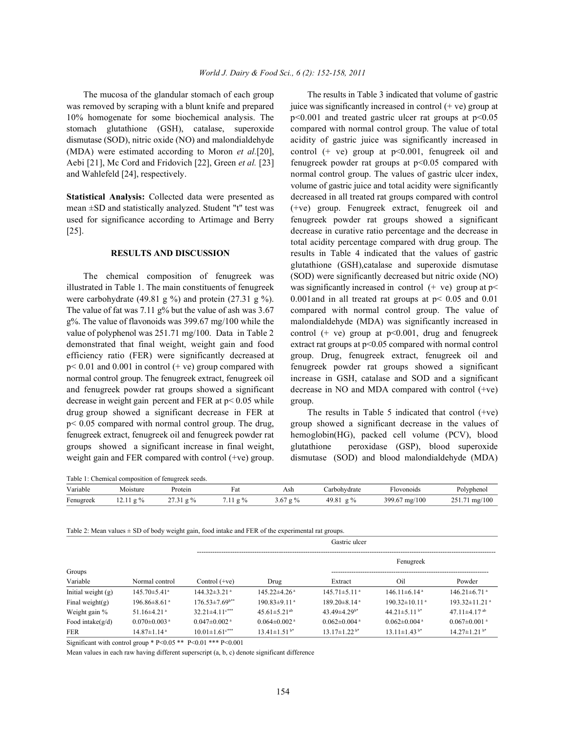decrease in weight gain percent and FER at  $p < 0.05$  while group. drug group showed a significant decrease in FER at The results in Table 5 indicated that control (+ve) fenugreek extract, fenugreek oil and fenugreek powder rat hemoglobin(HG), packed cell volume (PCV), blood groups showed a significant increase in final weight, glutathione peroxidase (GSP), blood superoxide weight gain and FER compared with control (+ve) group. dismutase (SOD) and blood malondialdehyde (MDA)

Table 1: Chemical composition of fenugreek seeds.

The mucosa of the glandular stomach of each group The results in Table 3 indicated that volume of gastric was removed by scraping with a blunt knife and prepared juice was significantly increased in control (+ ve) group at 10% homogenate for some biochemical analysis. The  $p<0.001$  and treated gastric ulcer rat groups at  $p<0.05$ stomach glutathione (GSH), catalase, superoxide compared with normal control group. The value of total dismutase (SOD), nitric oxide (NO) and malondialdehyde acidity of gastric juice was significantly increased in (MDA) were estimated according to Moron *et al.*[20], control (+ ve) group at p<0.001, fenugreek oil and Aebi [21], Mc Cord and Fridovich [22], Green *et al.* [23] fenugreek powder rat groups at p<0.05 compared with and Wahlefeld [24], respectively. hormal control group. The values of gastric ulcer index, **Statistical Analysis:** Collected data were presented as decreased in all treated rat groups compared with control mean ±SD and statistically analyzed. Student "t" test was (+ve) group. Fenugreek extract, fenugreek oil and used for significance according to Artimage and Berry fenugreek powder rat groups showed a significant [25]. decrease in curative ratio percentage and the decrease in **RESULTS AND DISCUSSION** results in Table 4 indicated that the values of gastric The chemical composition of fenugreek was (SOD) were significantly decreased but nitric oxide (NO) illustrated in Table 1. The main constituents of fenugreek was significantly increased in control  $(+)$  ve) group at  $p$ were carbohydrate (49.81 g %) and protein (27.31 g %). 0.001 and in all treated rat groups at  $p < 0.05$  and 0.01 The value of fat was 7.11 g% but the value of ash was 3.67 compared with normal control group. The value of  $g\%$ . The value of flavonoids was 399.67 mg/100 while the malondialdehyde (MDA) was significantly increased in value of polyphenol was  $251.71 \text{ mg}/100$ . Data in Table 2 control (+ ve) group at  $p<0.001$ , drug and fenugreek demonstrated that final weight, weight gain and food extract rat groups at p<0.05 compared with normal control efficiency ratio (FER) were significantly decreased at group. Drug, fenugreek extract, fenugreek oil and  $p < 0.01$  and 0.001 in control (+ ve) group compared with fenugreek powder rat groups showed a significant normal control group. The fenugreek extract, fenugreek oil increase in GSH, catalase and SOD and a significant and fenugreek powder rat groups showed a significant decrease in NO and MDA compared with control (+ve) volume of gastric juice and total acidity were significantly total acidity percentage compared with drug group. The glutathione (GSH),catalase and superoxide dismutase

p< 0.05 compared with normal control group. The drug, group showed a significant decrease in the values of

| Table 1. Chemical composition of femagrees secus. |          |         |            |               |                |                                  |               |  |  |
|---------------------------------------------------|----------|---------|------------|---------------|----------------|----------------------------------|---------------|--|--|
| Variable                                          | Moisture | Protein | Fat        | Ash           | arbohydrate    | Alovonoids                       | Polyphenol    |  |  |
| Fenugreek                                         | 9/0      | $9\%$   | $2\%$<br>. | 3.67<br>$g\%$ | $g\%$<br>49.81 | $\frac{m\varrho}{100}$<br>399.67 | 251.71 mg/100 |  |  |
|                                                   |          |         |            |               |                |                                  |               |  |  |

| Table 2: Mean values $\pm$ SD of body weight gain, food intake and FER of the experimental rat groups. |  |
|--------------------------------------------------------------------------------------------------------|--|
|                                                                                                        |  |

|                      |                                |                                  | Gastric ulcer                  |                                |                                 |                                 |  |  |  |
|----------------------|--------------------------------|----------------------------------|--------------------------------|--------------------------------|---------------------------------|---------------------------------|--|--|--|
|                      |                                |                                  |                                |                                | Fenugreek                       |                                 |  |  |  |
| Groups               |                                |                                  |                                |                                |                                 |                                 |  |  |  |
| Variable             | Normal control                 | Control $(+ve)$                  | Drug                           | Extract                        | Oil                             | Powder                          |  |  |  |
| Initial weight $(g)$ | $145.70 \pm 5.41$ <sup>a</sup> | $144.32 \pm 3.21$ <sup>a</sup>   | $145.22 \pm 4.26$ <sup>a</sup> | $145.71 \pm 5.11$ <sup>a</sup> | $146.11 \pm 6.14$ <sup>a</sup>  | $146.21 \pm 6.71$ <sup>a</sup>  |  |  |  |
| Final weight(g)      | $196.86 \pm 8.61$ <sup>a</sup> | $176.53 \pm 7.69$ <sup>b**</sup> | $190.83 \pm 9.11$ <sup>a</sup> | $189.20 \pm 8.14$ <sup>a</sup> | $190.32 \pm 10.11$ <sup>a</sup> | $193.32 \pm 11.21$ <sup>a</sup> |  |  |  |
| Weight gain %        | $51.16\pm4.21$ <sup>a</sup>    | $32.21 \pm 4.11$ <sup>c***</sup> | $45.61 \pm 5.21$ <sup>ab</sup> | 43.49 $\pm$ 4.29 <sup>b*</sup> | 44.21 $\pm$ 5.11 <sup>b*</sup>  | $47.11 \pm 4.17$ <sup>ab</sup>  |  |  |  |
| Food intake( $g/d$ ) | $0.070 \pm 0.003$ <sup>a</sup> | $0.047 \pm 0.002$ <sup>a</sup>   | $0.064 \pm 0.002$ <sup>a</sup> | $0.062 \pm 0.004$ <sup>a</sup> | $0.062 \pm 0.004$ <sup>a</sup>  | $0.067 \pm 0.001$ <sup>a</sup>  |  |  |  |
| <b>FER</b>           | $14.87 \pm 1.14$ <sup>a</sup>  | $10.01 \pm 1.61$ <sup>c***</sup> | $13.41 \pm 1.51$ <sup>b*</sup> | $13.17 \pm 1.22$ <sup>b*</sup> | $13.11 \pm 1.43$ <sup>b*</sup>  | $14.27 \pm 1.21$ <sup>b*</sup>  |  |  |  |

Significant with control group \* P<0.05 \*\* P<0.01 \*\*\* P<0.001

Mean values in each raw having different superscript (a, b, c) denote significant difference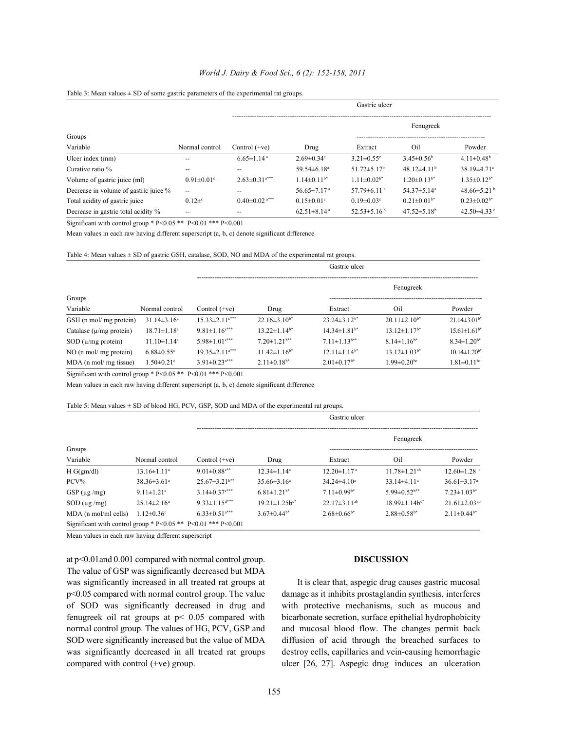# *World J. Dairy & Food Sci., 6 (2): 152-158, 2011*

|                                       |                              |                                 |                               | Gastric ulcer                 |                               |                               |
|---------------------------------------|------------------------------|---------------------------------|-------------------------------|-------------------------------|-------------------------------|-------------------------------|
|                                       |                              |                                 |                               |                               | Fenugreek                     |                               |
| Groups                                |                              |                                 |                               |                               |                               |                               |
| Variable                              | Normal control               | Control $(+ve)$                 | Drug                          | Extract                       | Oil                           | Powder                        |
| Ulcer index (mm)                      | --                           | $6.65 \pm 1.14$ <sup>a</sup>    | $2.69 \pm 0.34$ °             | $3.21 \pm 0.55$ °             | $3.45 \pm 0.56^b$             | $4.11 \pm 0.48$ <sup>b</sup>  |
| Curative ratio %                      | --                           | --                              | 59.54 $\pm$ 6.18 <sup>a</sup> | $51.72 \pm 5.17$ <sup>b</sup> | 48.12 $\pm$ 4.11 <sup>b</sup> | $38.19 \pm 4.71$ °            |
| Volume of gastric juice (ml)          | $0.91 \pm 0.01$ <sup>c</sup> | $2.63 \pm 0.31$ <sup>a***</sup> | $1.14\pm0.11^{b*}$            | $1.11 \pm 0.02^{b*}$          | $1.20 \pm 0.13^{b*}$          | $1.35 \pm 0.12^{b*}$          |
| Decrease in volume of gastric juice % | --                           | --                              | $56.65 \pm 7.17$ <sup>a</sup> | 57.79 $\pm$ 6.11 <sup>a</sup> | $54.37 \pm 5.14$ <sup>a</sup> | 48.66 $\pm$ 5.21 $^{\rm b}$   |
| Total acidity of gastric juice        | $0.12\pm c$                  | $0.40 \pm 0.02$ <sup>a***</sup> | $0.15 \pm 0.01$ <sup>c</sup>  | $0.19 \pm 0.03$ <sup>c</sup>  | $0.21 \pm 0.01^{b*}$          | $0.23 \pm 0.02$ <sup>b*</sup> |
| Decrease in gastric total acidity %   | --                           | --                              | $62.51 \pm 8.14$ <sup>a</sup> | $52.53 \pm 5.16^{\mathrm{b}}$ | $47.52 \pm 5.18$ <sup>b</sup> | 42.50 $\pm$ 4.33 $\degree$    |

## Table 3: Mean values  $\pm$  SD of some gastric parameters of the experimental rat groups.

Significant with control group \* P<0.05 \*\* P<0.01 \*\*\* P<0.001

Mean values in each raw having different superscript (a, b, c) denote significant difference

Table 4: Mean values  $\pm$  SD of gastric GSH, catalase, SOD, NO and MDA of the experimental rat groups.

|                               |                              |                                  |                                | Gastric ulcer                  |                                |                                |
|-------------------------------|------------------------------|----------------------------------|--------------------------------|--------------------------------|--------------------------------|--------------------------------|
|                               |                              |                                  |                                |                                | Fenugreek                      |                                |
| Groups                        |                              |                                  |                                |                                |                                |                                |
| Variable                      | Normal control               | Control $(+ve)$                  | Drug                           | Extract                        | Oil                            | Powder                         |
| GSH (n mol/ mg protein)       | $31.14\pm3.16^a$             | $15.33 \pm 2.11$ <sup>c***</sup> | $22.16 \pm 3.10^{b*}$          | $23.24\pm3.12^{b*}$            | $20.11 \pm 2.10^{b*}$          | $21.14\pm3.01$ <sup>b*</sup>   |
| Catalase ( $\mu$ /mg protein) | $18.71 \pm 1.18^a$           | $9.81 \pm 1.16$ <sup>c***</sup>  | $13.22 \pm 1.14$ <sup>b*</sup> | $14.34 \pm 1.81$ <sup>b*</sup> | $13.12 \pm 1.17$ <sup>b*</sup> | $15.61 \pm 1.61$ <sup>b*</sup> |
| $SOD (\mu/mg)$ protein)       | $11.10 \pm 1.14^a$           | $5.98 \pm 1.01$ <sup>c***</sup>  | $7.20 \pm 1.21$ <sup>b**</sup> | $7.11 \pm 1.13$ <sup>b**</sup> | $8.14 \pm 1.16^{b*}$           | $8.34 \pm 1.20^{b*}$           |
| $NO$ (n mol/ mg protein)      | $6.88 \pm 0.55$ <sup>c</sup> | $19.35 \pm 2.11^{a***}$          | $11.42 \pm 1.16^{b*}$          | $12.11 \pm 1.14$ <sup>b*</sup> | $13.12 \pm 1.03^{b*}$          | $10.14 \pm 1.20$ <sup>b*</sup> |
| MDA (n mol/ mg tissue)        | $1.50 \pm 0.21$ <sup>c</sup> | $3.91 \pm 0.23$ <sup>a***</sup>  | $2.11 \pm 0.18^{b*}$           | $2.01 \pm 0.17$ <sup>b*</sup>  | $1.99 \pm 0.20$ <sup>bc</sup>  | $1.81 \pm 0.11$ <sup>bc</sup>  |

Significant with control group \* P<0.05 \*\* P<0.01 \*\*\* P<0.001

Mean values in each raw having different superscript (a, b, c) denote significant difference

## Table 5: Mean values ± SD of blood HG, PCV, GSP, SOD and MDA of the experimental rat groups.

|                                                               |                              |                                 |                               | Gastric ulcer                 |                                |                                |
|---------------------------------------------------------------|------------------------------|---------------------------------|-------------------------------|-------------------------------|--------------------------------|--------------------------------|
|                                                               |                              |                                 |                               |                               | Fenugreek                      |                                |
| Groups                                                        |                              |                                 |                               |                               |                                |                                |
| Variable                                                      | Normal control               | Control $(+ve)$                 | Drug                          | Extract                       | Oil                            | Powder                         |
| H G(gm/dl)                                                    | $13.16 \pm 1.11^a$           | $9.01 \pm 0.88$ <sup>c**</sup>  | $12.34 \pm 1.14^a$            | $12.20 \pm 1.17$ <sup>a</sup> | $11.78 \pm 1.21$ <sup>ab</sup> | $12.60 \pm 1.28$ <sup>a</sup>  |
| $PCV\%$                                                       | $38.36 \pm 3.61^a$           | $25.67 \pm 3.21$ <sup>b**</sup> | $35.66\pm3.16^a$              | $34.24 \pm 4.10^a$            | $33.14 \pm 4.11$ <sup>a</sup>  | $36.61 \pm 3.17$ <sup>a</sup>  |
| GSP $(\mu g/mg)$                                              | $9.11 \pm 1.21$ <sup>a</sup> | $3.14 \pm 0.37$ <sup>c***</sup> | $6.81 \pm 1.21$ <sup>b*</sup> | $7.11 \pm 0.99^{b*}$          | $5.99 \pm 0.52$ <sup>b**</sup> | $7.23 \pm 1.03^{b*}$           |
| $SOD (\mu g/mg)$                                              | $25.14 \pm 2.16^a$           | $9.33 \pm 1.15$ <sup>d***</sup> | $19.21 \pm 1.25b^{c*}$        | $22.17\pm3.11^{ab}$           | $18.99 \pm 1.14 h^{c*}$        | $21.61 \pm 2.03$ <sup>ab</sup> |
| MDA (n mol/ml cells)                                          | $1.12 \pm 0.36$ <sup>c</sup> | $6.33 \pm 0.51$ <sup>a***</sup> | $3.67\pm0.44$ <sup>b*</sup>   | $2.68\pm0.66^{b*}$            | $2.88\pm0.58^{b*}$             | $2.11 \pm 0.44$ <sup>b*</sup>  |
| Significant with control group * P<0.05 ** P<0.01 *** P<0.001 |                              |                                 |                               |                               |                                |                                |

Mean values in each raw having different superscript

at p<0.01and 0.001 compared with normal control group. **DISCUSSION** The value of GSP was significantly decreased but MDA was significantly increased in all treated rat groups at It is clear that, aspegic drug causes gastric mucosal p<0.05 compared with normal control group. The value damage as it inhibits prostaglandin synthesis, interferes of SOD was significantly decreased in drug and with protective mechanisms, such as mucous and fenugreek oil rat groups at p< 0.05 compared with bicarbonate secretion, surface epithelial hydrophobicity normal control group. The values of HG, PCV, GSP and and mucosal blood flow. The changes permit back SOD were significantly increased but the value of MDA diffusion of acid through the breached surfaces to was significantly decreased in all treated rat groups destroy cells, capillaries and vein-causing hemorrhagic compared with control (+ve) group. ulcer [26, 27]. Aspegic drug induces an ulceration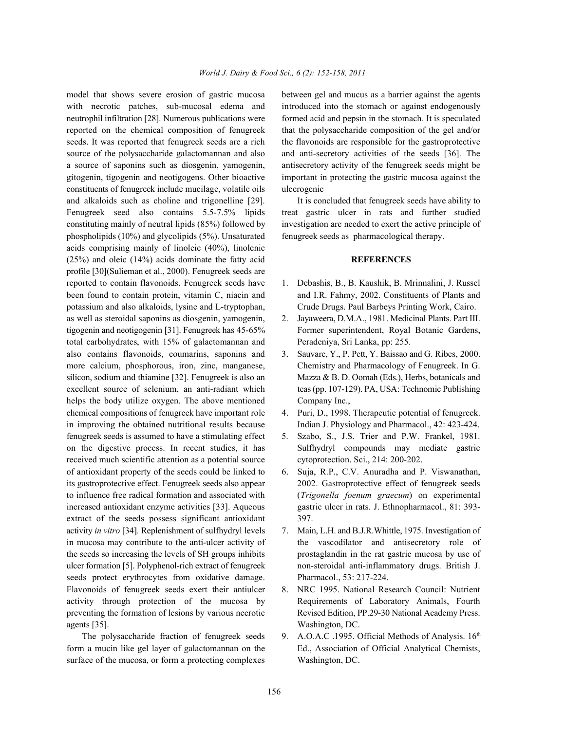with necrotic patches, sub-mucosal edema and introduced into the stomach or against endogenously neutrophil infiltration [28]. Numerous publications were formed acid and pepsin in the stomach. It is speculated reported on the chemical composition of fenugreek that the polysaccharide composition of the gel and/or seeds. It was reported that fenugreek seeds are a rich the flavonoids are responsible for the gastroprotective source of the polysaccharide galactomannan and also and anti-secretory activities of the seeds [36]. The a source of saponins such as diosgenin, yamogenin, antisecretory activity of the fenugreek seeds might be gitogenin, tigogenin and neotigogens. Other bioactive important in protecting the gastric mucosa against the constituents of fenugreek include mucilage, volatile oils ulcerogenic and alkaloids such as choline and trigonelline [29]. It is concluded that fenugreek seeds have ability to Fenugreek seed also contains 5.5-7.5% lipids treat gastric ulcer in rats and further studied constituting mainly of neutral lipids (85%) followed by investigation are needed to exert the active principle of phospholipids (10%) and glycolipids (5%). Unsaturated fenugreek seeds as pharmacological therapy. acids comprising mainly of linoleic (40%), linolenic (25%) and oleic (14%) acids dominate the fatty acid **REFERENCES** profile [30](Sulieman et al., 2000). Fenugreek seeds are reported to contain flavonoids. Fenugreek seeds have 1. Debashis, B., B. Kaushik, B. Mrinnalini, J. Russel been found to contain protein, vitamin C, niacin and and I.R. Fahmy, 2002. Constituents of Plants and potassium and also alkaloids, lysine and L-tryptophan, Crude Drugs. Paul Barbeys Printing Work, Cairo. as well as steroidal saponins as diosgenin, yamogenin, 2. Jayaweera, D.M.A., 1981. Medicinal Plants. Part III. tigogenin and neotigogenin [31]. Fenugreek has 45-65% Former superintendent, Royal Botanic Gardens, total carbohydrates, with 15% of galactomannan and Peradeniya, Sri Lanka, pp: 255. also contains flavonoids, coumarins, saponins and 3. Sauvare, Y., P. Pett, Y. Baissao and G. Ribes, 2000. more calcium, phosphorous, iron, zinc, manganese, Chemistry and Pharmacology of Fenugreek. In G. silicon, sodium and thiamine [32]. Fenugreek is also an Mazza & B. D. Oomah (Eds.), Herbs, botanicals and excellent source of selenium, an anti-radiant which teas (pp. 107-129). PA, USA: Technomic Publishing helps the body utilize oxygen. The above mentioned Company Inc., chemical compositions of fenugreek have important role 4. Puri, D., 1998. Therapeutic potential of fenugreek. in improving the obtained nutritional results because Indian J. Physiology and Pharmacol., 42: 423-424. fenugreek seeds is assumed to have a stimulating effect 5. Szabo, S., J.S. Trier and P.W. Frankel, 1981. on the digestive process. In recent studies, it has Sulfhydryl compounds may mediate gastric received much scientific attention as a potential source cytoprotection. Sci., 214: 200-202. of antioxidant property of the seeds could be linked to 6. Suja, R.P., C.V. Anuradha and P. Viswanathan, its gastroprotective effect. Fenugreek seeds also appear 2002. Gastroprotective effect of fenugreek seeds to influence free radical formation and associated with (*Trigonella foenum graecum*) on experimental increased antioxidant enzyme activities [33]. Aqueous gastric ulcer in rats. J. Ethnopharmacol., 81: 393 extract of the seeds possess significant antioxidant 397. activity *in vitro* [34]. Replenishment of sulfhydryl levels 7. Main, L.H. and B.J.R.Whittle, 1975. Investigation of in mucosa may contribute to the anti-ulcer activity of the vascodilator and antisecretory role of the seeds so increasing the levels of SH groups inhibits prostaglandin in the rat gastric mucosa by use of ulcer formation [5]. Polyphenol-rich extract of fenugreek non-steroidal anti-inflammatory drugs. British J. seeds protect erythrocytes from oxidative damage. Pharmacol., 53: 217-224. Flavonoids of fenugreek seeds exert their antiulcer 8. NRC 1995. National Research Council: Nutrient activity through protection of the mucosa by Requirements of Laboratory Animals, Fourth preventing the formation of lesions by various necrotic Revised Edition, PP.29-30 National Academy Press. agents [35]. Washington, DC.

form a mucin like gel layer of galactomannan on the Ed., Association of Official Analytical Chemists, surface of the mucosa, or form a protecting complexes Washington, DC.

model that shows severe erosion of gastric mucosa between gel and mucus as a barrier against the agents

- 
- 
- 
- 
- 
- 
- 
- 
- The polysaccharide fraction of fenugreek seeds 9. A.O.A.C .1995. Official Methods of Analysis.  $16<sup>th</sup>$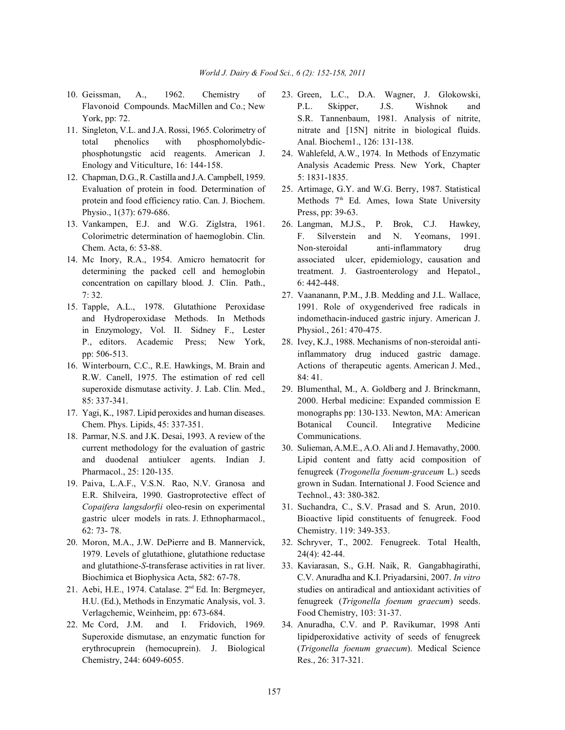- 
- total phenolics with phosphomolybdic- Anal. Biochem1., 126: 131-138. phosphotungstic acid reagents. American J. 24. Wahlefeld, A.W., 1974. In Methods of Enzymatic
- 12. Chapman, D.G., R. Castilla and J.A. Campbell, 1959. 5: 1831-1835. Evaluation of protein in food. Determination of 25. Artimage, G.Y. and W.G. Berry, 1987. Statistical protein and food efficiency ratio. Can. J. Biochem. Physio., 1(37): 679-686. Press, pp: 39-63.
- 
- concentration on capillary blood. J. Clin. Path., 6: 442-448. 7: 32. 27. Vaananann, P.M., J.B. Medding and J.L. Wallace,
- in Enzymology, Vol. II. Sidney F., Lester Physiol., 261: 470-475. P., editors. Academic Press; New York, 28. Ivey, K.J., 1988. Mechanisms of non-steroidal anti-
- R.W. Canell, 1975. The estimation of red cell 84: 41. superoxide dismutase activity. J. Lab. Clin. Med., 29. Blumenthal, M., A. Goldberg and J. Brinckmann,
- 
- 18. Parmar, N.S. and J.K. Desai, 1993. A review of the Communications. current methodology for the evaluation of gastric 30. Sulieman, A.M.E., A.O. Ali and J. Hemavathy, 2000.
- E.R. Shilveira, 1990. Gastroprotective effect of Technol., 43: 380-382. *Copaifera langsdorfii* oleo-resin on experimental 31. Suchandra, C., S.V. Prasad and S. Arun, 2010. 62: 73- 78. Chemistry. 119: 349-353.
- 1979. Levels of glutathione, glutathione reductase 24(4): 42-44. and glutathione-*S*-transferase activities in rat liver. 33. Kaviarasan, S., G.H. Naik, R. Gangabhagirathi,
- Verlagchemic, Weinheim, pp: 673-684. Food Chemistry, 103: 31-37.
- Chemistry, 244: 6049-6055. Res., 26: 317-321.
- 10. Geissman, A., 1962. Chemistry of 23. Green, L.C., D.A. Wagner, J. Glokowski, Flavonoid Compounds. MacMillen and Co.; New P.L. Skipper, J.S. Wishnok and York, pp: 72. S.R. Tannenbaum, 1981. Analysis of nitrite, 11. Singleton, V.L. and J.A. Rossi, 1965. Colorimetry of nitrate and [15N] nitrite in biological fluids.
	- Enology and Viticulture, 16: 144-158. Analysis Academic Press. New York, Chapter
		- Methods 7<sup>th</sup> Ed. Ames, Iowa State University
- 13. Vankampen, E.J. and W.G. Ziglstra, 1961. 26. Langman, M.J.S., P. Brok, C.J. Hawkey, Colorimetric determination of haemoglobin. Clin. F. Silverstein and N. Yeomans, 1991. Chem. Acta, 6: 53-88. Non-steroidal anti-inflammatory drug 14. Mc Inory, R.A., 1954. Amicro hematocrit for associated ulcer, epidemiology, causation and determining the packed cell and hemoglobin treatment. J. Gastroenterology and Hepatol.,
- 15. Tapple, A.L., 1978. Glutathione Peroxidase 1991. Role of oxygenderived free radicals in and Hydroperoxidase Methods. In Methods indomethacin-induced gastric injury. American J.
- pp: 506-513. inflammatory drug induced gastric damage. 16. Winterbourn, C.C., R.E. Hawkings, M. Brain and Actions of therapeutic agents. American J. Med.,
- 85: 337-341. 2000. Herbal medicine: Expanded commission E 17. Yagi, K., 1987. Lipid peroxides and human diseases. monographs pp: 130-133. Newton, MA: American Chem. Phys. Lipids, 45: 337-351. Botanical Council. Integrative Medicine
- and duodenal antiulcer agents. Indian J. Lipid content and fatty acid composition of Pharmacol., 25: 120-135. fenugreek (*Trogonella foenum-graceum* L.) seeds 19. Paiva, L.A.F., V.S.N. Rao, N.V. Granosa and grown in Sudan. International J. Food Science and
	- gastric ulcer models in rats. J. Ethnopharmacol., Bioactive lipid constituents of fenugreek. Food
- 20. Moron, M.A., J.W. DePierre and B. Mannervick, 32. Schryver, T., 2002. Fenugreek. Total Health,
- Biochimica et Biophysica Acta, 582: 67-78. C.V. Anuradha and K.I. Priyadarsini, 2007. *In vitro* 21. Aebi, H.E., 1974. Catalase. 2<sup>nd</sup> Ed. In: Bergmeyer, studies on antiradical and antioxidant activities of H.U. (Ed.), Methods in Enzymatic Analysis, vol. 3. fenugreek (*Trigonella foenum graecum*) seeds.
- 22. Mc Cord, J.M. and I. Fridovich, 1969. 34. Anuradha, C.V. and P. Ravikumar, 1998 Anti Superoxide dismutase, an enzymatic function for lipidperoxidative activity of seeds of fenugreek erythrocuprein (hemocuprein). J. Biological (*Trigonella foenum graecum*). Medical Science